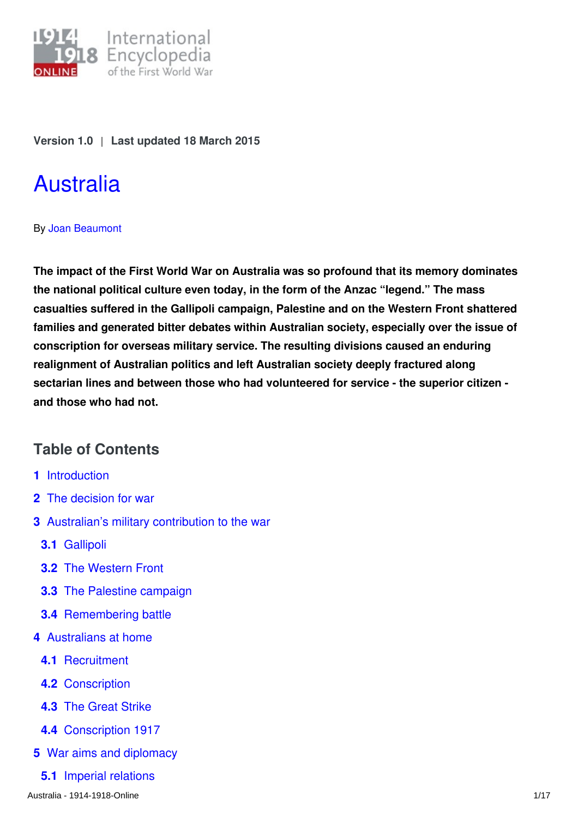

**Version 1.0** | **Last updated 18 March 2015**

# [Australia](http://encyclopedia.1914-1918-online.net/article/australia)

## By [Joan Beaumont](http://encyclopedia.1914-1918-online.net/contributors/Joan_Beaumont)

**The impact of the First World War on Australia was so profound that its memory dominates the national political culture even today, in the form of the Anzac "legend." The mass casualties suffered in the Gallipoli campaign, Palestine and on the Western Front shattered families and generated bitter debates within Australian society, especially over the issue of conscription for overseas military service. The resulting divisions caused an enduring realignment of Australian politics and left Australian society deeply fractured along sectarian lines and between those who had volunteered for service - the superior citizen and those who had not.**

# **Table of Contents**

- **1** Introduction
- **2** The decision for war
- **3** Australian's military contribution to the war
	- **3.1** Gallipoli
	- **3.2** The Western Front
	- **3.3** The Palestine campaign
	- **3.4** Remembering battle
- **4** Australians at home
	- **4.1** Recruitment
	- **4.2** Conscription
	- **4.3** The Great Strike
	- **4.4** Conscription 1917
- **5** War aims and diplomacy
	- **5.1** Imperial relations

Australia - 1914-1918-Online 1/17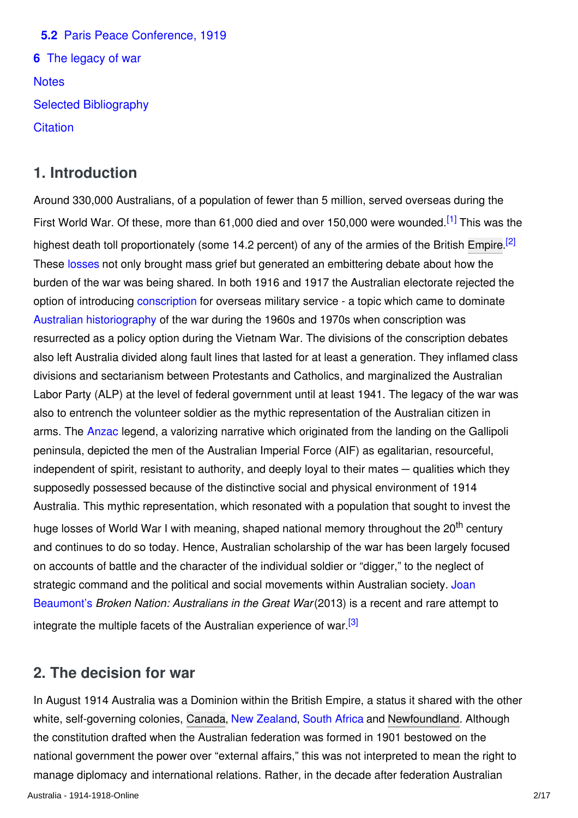**5.2** Paris Peace Conference, 1919 **6** The legacy of war **Notes** Selected Bibliography **Citation** 

# **1. Introduction**

Around 330,000 Australians, of a population of fewer than 5 million, served overseas during the First World War. Of these, more than 61,000 died and over 150,000 were wounded.<sup>[1]</sup> This was the highest death toll proportionately (some 14.2 percent) of any of the armies of the British [Empire](http://encyclopedia.1914-1918-online.net/article/empire).<sup>[2]</sup> These [losses](http://encyclopedia.1914-1918-online.net/article/war_losses_australia) not only brought mass grief but generated an embittering debate about how the burden of the war was being shared. In both 1916 and 1917 the Australian electorate rejected the option of introducing [conscription](http://encyclopedia.1914-1918-online.net/article/conscription_australia) for overseas military service - a topic which came to dominate [Australian historiography](http://encyclopedia.1914-1918-online.net/article/historiography_1918-today_australia) of the war during the 1960s and 1970s when conscription was resurrected as a policy option during the Vietnam War. The divisions of the conscription debates also left Australia divided along fault lines that lasted for at least a generation. They inflamed class divisions and sectarianism between Protestants and Catholics, and marginalized the Australian Labor Party (ALP) at the level of federal government until at least 1941. The legacy of the war was also to entrench the volunteer soldier as the mythic representation of the Australian citizen in arms. The [Anzac](http://encyclopedia.1914-1918-online.net/article/anzac_australia) legend, a valorizing narrative which originated from the landing on the Gallipoli peninsula, depicted the men of the Australian Imperial Force (AIF) as egalitarian, resourceful, independent of spirit, resistant to authority, and deeply loyal to their mates — qualities which they supposedly possessed because of the distinctive social and physical environment of 1914 Australia. This mythic representation, which resonated with a population that sought to invest the huge losses of World War I with meaning, shaped national memory throughout the 20<sup>th</sup> century and continues to do so today. Hence, Australian scholarship of the war has been largely focused on accounts of battle and the character of the individual soldier or "digger," to the neglect of [strategic command and the political and social movements within Australian society. Joan](http://encyclopedia.1914-1918-online.net/contributors/Joan_Beaumont) Beaumont's *Broken Nation: Australians in the Great War* (2013) is a recent and rare attempt to integrate the multiple facets of the Australian experience of war.<sup>[3]</sup>

# **2. The decision for war**

In August 1914 Australia was a Dominion within the British Empire, a status it shared with the other white, self-governing colonies, [Canada](http://encyclopedia.1914-1918-online.net/article/canada), [New Zealand](http://encyclopedia.1914-1918-online.net/article/new_zealand), [South Africa](http://encyclopedia.1914-1918-online.net/article/union_of_south_africa) and [Newfoundland](http://encyclopedia.1914-1918-online.net/article/newfoundland). Although the constitution drafted when the Australian federation was formed in 1901 bestowed on the national government the power over "external affairs," this was not interpreted to mean the right to manage diplomacy and international relations. Rather, in the decade after federation Australian Australia - 1914-1918-Online 2/17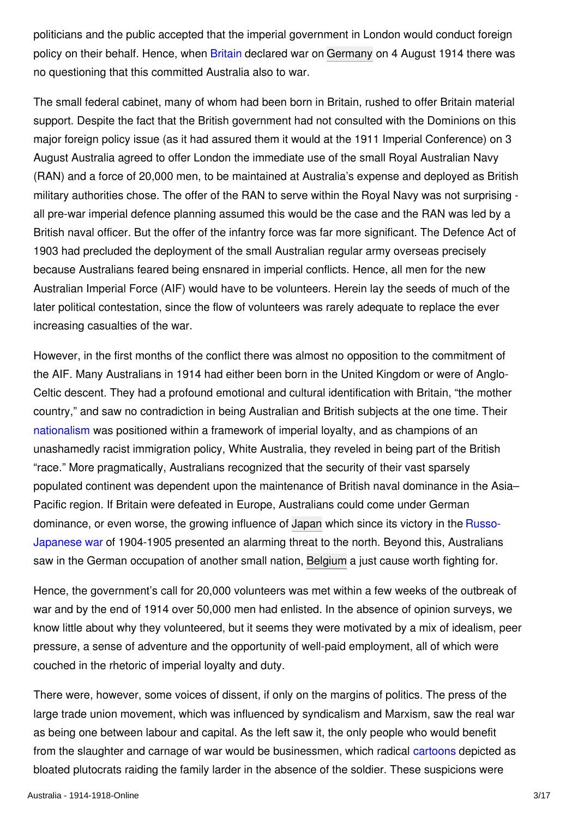politicians and the public accepted that the imperial government in London would conduct foreign policy on their behalf. Hence, when [Britain](http://encyclopedia.1914-1918-online.net/article/great_britain) declared war on [Germany](http://encyclopedia.1914-1918-online.net/article/germany) on 4 August 1914 there was no questioning that this committed Australia also to war.

The small federal cabinet, many of whom had been born in Britain, rushed to offer Britain material support. Despite the fact that the British government had not consulted with the Dominions on this major foreign policy issue (as it had assured them it would at the 1911 Imperial Conference) on 3 August Australia agreed to offer London the immediate use of the small Royal Australian Navy (RAN) and a force of 20,000 men, to be maintained at Australia's expense and deployed as British military authorities chose. The offer of the RAN to serve within the Royal Navy was not surprising all pre-war imperial defence planning assumed this would be the case and the RAN was led by a British naval officer. But the offer of the infantry force was far more significant. The Defence Act of 1903 had precluded the deployment of the small Australian regular army overseas precisely because Australians feared being ensnared in imperial conflicts. Hence, all men for the new Australian Imperial Force (AIF) would have to be volunteers. Herein lay the seeds of much of the later political contestation, since the flow of volunteers was rarely adequate to replace the ever increasing casualties of the war.

However, in the first months of the conflict there was almost no opposition to the commitment of the AIF. Many Australians in 1914 had either been born in the United Kingdom or were of Anglo-Celtic descent. They had a profound emotional and cultural identification with Britain, "the mother country," and saw no contradiction in being Australian and British subjects at the one time. Their [nationalism](http://encyclopedia.1914-1918-online.net/article/nationalism) was positioned within a framework of imperial loyalty, and as champions of an unashamedly racist immigration policy, White Australia, they reveled in being part of the British "race." More pragmatically, Australians recognized that the security of their vast sparsely populated continent was dependent upon the maintenance of British naval dominance in the Asia– Pacific region. If Britain were defeated in Europe, Australians could come under German [dominance, or even worse, the growing influence of](http://encyclopedia.1914-1918-online.net/article/russian-japanese-war) [Japa](http://encyclopedia.1914-1918-online.net/article/japanese_empire)[n which since its victory in the Russo-](http://encyclopedia.1914-1918-online.net/article/russian-japanese-war)Japanese war of 1904-1905 presented an alarming threat to the north. Beyond this, Australians saw in the German occupation of another small nation, [Belgium](http://encyclopedia.1914-1918-online.net/article/belgium) a just cause worth fighting for.

Hence, the government's call for 20,000 volunteers was met within a few weeks of the outbreak of war and by the end of 1914 over 50,000 men had enlisted. In the absence of opinion surveys, we know little about why they volunteered, but it seems they were motivated by a mix of idealism, peer pressure, a sense of adventure and the opportunity of well-paid employment, all of which were couched in the rhetoric of imperial loyalty and duty.

There were, however, some voices of dissent, if only on the margins of politics. The press of the large trade union movement, which was influenced by syndicalism and Marxism, saw the real war as being one between labour and capital. As the left saw it, the only people who would benefit from the slaughter and carnage of war would be businessmen, which radical [cartoons](http://encyclopedia.1914-1918-online.net/article/caricatures) depicted as bloated plutocrats raiding the family larder in the absence of the soldier. These suspicions were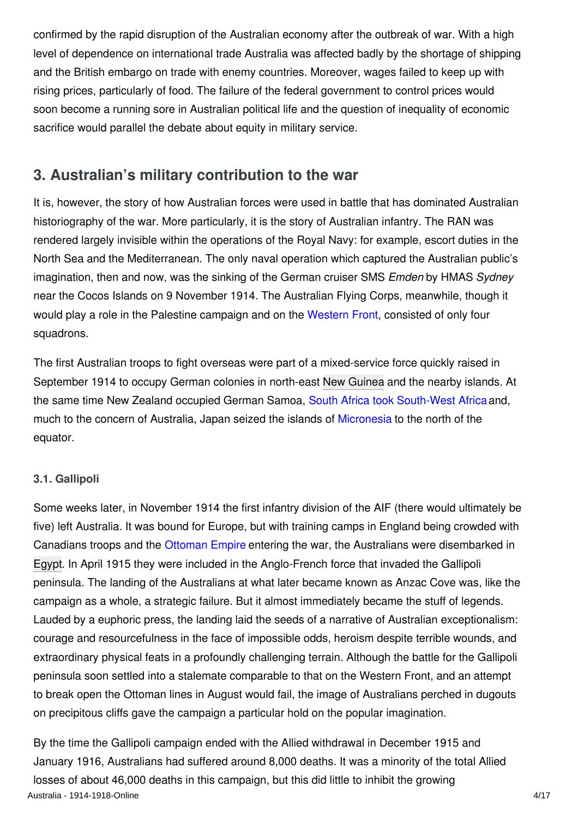confirmed by the rapid disruption of the Australian economy after the outbreak of war. With a high level of dependence on international trade Australia was affected badly by the shortage of shipping and the British embargo on trade with enemy countries. Moreover, wages failed to keep up with rising prices, particularly of food. The failure of the federal government to control prices would soon become a running sore in Australian political life and the question of inequality of economic sacrifice would parallel the debate about equity in military service.

# **3. Australian's military contribution to the war**

It is, however, the story of how Australian forces were used in battle that has dominated Australian historiography of the war. More particularly, it is the story of Australian infantry. The RAN was rendered largely invisible within the operations of the Royal Navy: for example, escort duties in the North Sea and the Mediterranean. The only naval operation which captured the Australian public's imagination, then and now, was the sinking of the German cruiser SMS *Emden* by HMAS *Sydney* near the Cocos Islands on 9 November 1914. The Australian Flying Corps, meanwhile, though it would play a role in the Palestine campaign and on the [Western Front](http://encyclopedia.1914-1918-online.net/article/western_front), consisted of only four squadrons.

The first Australian troops to fight overseas were part of a mixed-service force quickly raised in September 1914 to occupy German colonies in north-east [New Guinea](http://encyclopedia.1914-1918-online.net/article/new_guinea) and the nearby islands. At the same time New Zealand occupied German Samoa, [South Africa took South-West Africa](http://encyclopedia.1914-1918-online.net/article/south_african_invasion_of_german_south_west_africa_union_of_south_africa) and, much to the concern of Australia, Japan seized the islands of [Micronesia](http://encyclopedia.1914-1918-online.net/article/micronesia) to the north of the equator.

## **3.1. Gallipoli**

Some weeks later, in November 1914 the first infantry division of the AIF (there would ultimately be five) left Australia. It was bound for Europe, but with training camps in England being crowded with Canadians troops and the [Ottoman Empire](http://encyclopedia.1914-1918-online.net/article/ottoman_empiremiddle_east) entering the war, the Australians were disembarked in [Egypt](http://encyclopedia.1914-1918-online.net/article/egypt). In April 1915 they were included in the Anglo-French force that invaded the Gallipoli peninsula. The landing of the Australians at what later became known as Anzac Cove was, like the campaign as a whole, a strategic failure. But it almost immediately became the stuff of legends. Lauded by a euphoric press, the landing laid the seeds of a narrative of Australian exceptionalism: courage and resourcefulness in the face of impossible odds, heroism despite terrible wounds, and extraordinary physical feats in a profoundly challenging terrain. Although the battle for the Gallipoli peninsula soon settled into a stalemate comparable to that on the Western Front, and an attempt to break open the Ottoman lines in August would fail, the image of Australians perched in dugouts on precipitous cliffs gave the campaign a particular hold on the popular imagination.

By the time the Gallipoli campaign ended with the Allied withdrawal in December 1915 and January 1916, Australians had suffered around 8,000 deaths. It was a minority of the total Allied losses of about 46,000 deaths in this campaign, but this did little to inhibit the growing Australia - 1914-1918-Online 4/17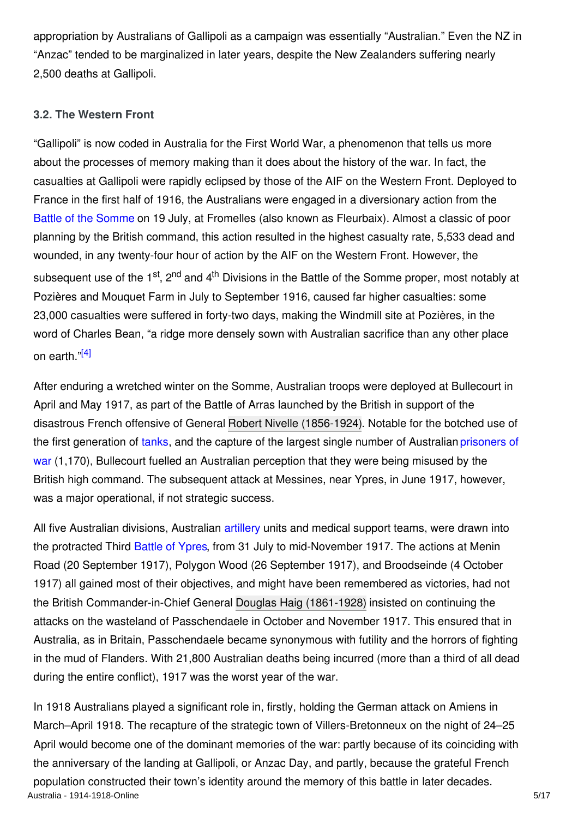appropriation by Australians of Gallipoli as a campaign was essentially "Australian." Even the NZ in "Anzac" tended to be marginalized in later years, despite the New Zealanders suffering nearly 2,500 deaths at Gallipoli.

#### **3.2. The Western Front**

"Gallipoli" is now coded in Australia for the First World War, a phenomenon that tells us more about the processes of memory making than it does about the history of the war. In fact, the casualties at Gallipoli were rapidly eclipsed by those of the AIF on the Western Front. Deployed to France in the first half of 1916, the Australians were engaged in a diversionary action from the [Battle of the Somme](http://encyclopedia.1914-1918-online.net/article/somme_battles_of) on 19 July, at Fromelles (also known as Fleurbaix). Almost a classic of poor planning by the British command, this action resulted in the highest casualty rate, 5,533 dead and wounded, in any twenty-four hour of action by the AIF on the Western Front. However, the subsequent use of the 1<sup>st</sup>, 2<sup>nd</sup> and 4<sup>th</sup> Divisions in the Battle of the Somme proper, most notably at Pozières and Mouquet Farm in July to September 1916, caused far higher casualties: some 23,000 casualties were suffered in forty-two days, making the Windmill site at Pozières, in the word of Charles Bean, "a ridge more densely sown with Australian sacrifice than any other place on earth."[4]

After enduring a wretched winter on the Somme, Australian troops were deployed at Bullecourt in April and May 1917, as part of the Battle of Arras launched by the British in support of the disastrous French offensive of General [Robert Nivelle \(1856-1924\)](http://encyclopedia.1914-1918-online.net/index/names/1038074231). Notable for the botched use of [the first generation of](http://encyclopedia.1914-1918-online.net/article/prisoners_of_war_australia) [tank](http://encyclopedia.1914-1918-online.net/article/tanks_and_tank_warfare)[s, and the capture of the largest single number of Australian prisoners of](http://encyclopedia.1914-1918-online.net/article/prisoners_of_war_australia) war (1,170), Bullecourt fuelled an Australian perception that they were being misused by the British high command. The subsequent attack at Messines, near Ypres, in June 1917, however, was a major operational, if not strategic success.

All five Australian divisions, Australian [artillery](http://encyclopedia.1914-1918-online.net/article/artillery) units and medical support teams, were drawn into the protracted Third [Battle of Ypres](http://encyclopedia.1914-1918-online.net/article/ypres_battles_of), from 31 July to mid-November 1917. The actions at Menin Road (20 September 1917), Polygon Wood (26 September 1917), and Broodseinde (4 October 1917) all gained most of their objectives, and might have been remembered as victories, had not the British Commander-in-Chief General [Douglas Haig \(1861-1928\)](http://encyclopedia.1914-1918-online.net/index/names/119023342) insisted on continuing the attacks on the wasteland of Passchendaele in October and November 1917. This ensured that in Australia, as in Britain, Passchendaele became synonymous with futility and the horrors of fighting in the mud of Flanders. With 21,800 Australian deaths being incurred (more than a third of all dead during the entire conflict), 1917 was the worst year of the war.

In 1918 Australians played a significant role in, firstly, holding the German attack on Amiens in March–April 1918. The recapture of the strategic town of Villers-Bretonneux on the night of 24–25 April would become one of the dominant memories of the war: partly because of its coinciding with the anniversary of the landing at Gallipoli, or Anzac Day, and partly, because the grateful French population constructed their town's identity around the memory of this battle in later decades. Australia - 1914-1918-Online 5/17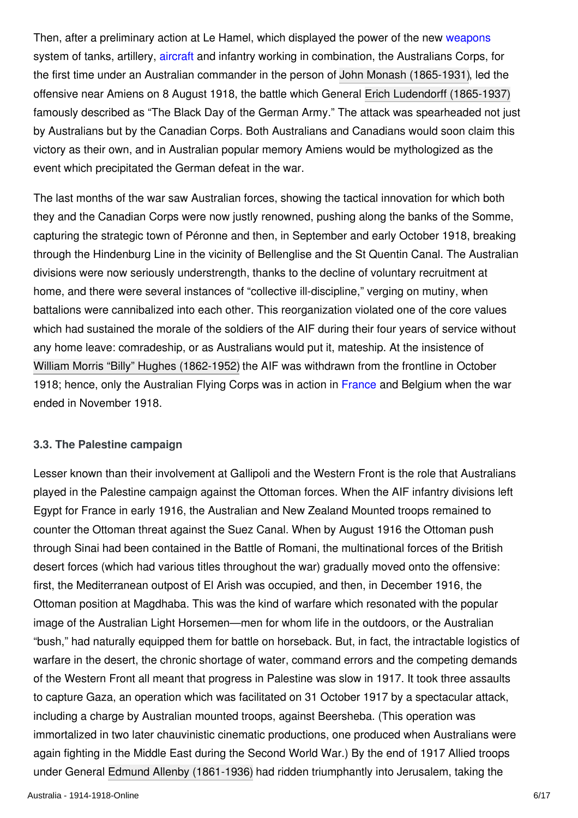Then, after a preliminary action at Le Hamel, which displayed the power of the new [weapons](http://encyclopedia.1914-1918-online.net/article/weapons) system of tanks, artillery, [aircraft](http://encyclopedia.1914-1918-online.net/article/aircraft_fighter_and_pursuit) and infantry working in combination, the Australians Corps, for the first time under an Australian commander in the person of [John Monash \(1865-1931\)](http://encyclopedia.1914-1918-online.net/index/names/123180996), led the offensive near Amiens on 8 August 1918, the battle which General [Erich Ludendorff \(1865-1937\)](http://encyclopedia.1914-1918-online.net/index/names/118574841) famously described as "The Black Day of the German Army." The attack was spearheaded not just by Australians but by the Canadian Corps. Both Australians and Canadians would soon claim this victory as their own, and in Australian popular memory Amiens would be mythologized as the event which precipitated the German defeat in the war.

The last months of the war saw Australian forces, showing the tactical innovation for which both they and the Canadian Corps were now justly renowned, pushing along the banks of the Somme, capturing the strategic town of Péronne and then, in September and early October 1918, breaking through the Hindenburg Line in the vicinity of Bellenglise and the St Quentin Canal. The Australian divisions were now seriously understrength, thanks to the decline of voluntary recruitment at home, and there were several instances of "collective ill-discipline," verging on mutiny, when battalions were cannibalized into each other. This reorganization violated one of the core values which had sustained the morale of the soldiers of the AIF during their four years of service without any home leave: comradeship, or as Australians would put it, mateship. At the insistence of William Morris "Billy" Hughes (1862-1952) the AIF was withdrawn from the frontline in October 1918; hence, only the Australian Flying Corps was in action in [France](http://encyclopedia.1914-1918-online.net/article/france) and Belgium when the war ended in November 1918.

## **3.3. The Palestine campaign**

Lesser known than their involvement at Gallipoli and the Western Front is the role that Australians played in the Palestine campaign against the Ottoman forces. When the AIF infantry divisions left Egypt for France in early 1916, the Australian and New Zealand Mounted troops remained to counter the Ottoman threat against the Suez Canal. When by August 1916 the Ottoman push through Sinai had been contained in the Battle of Romani, the multinational forces of the British desert forces (which had various titles throughout the war) gradually moved onto the offensive: first, the Mediterranean outpost of El Arish was occupied, and then, in December 1916, the Ottoman position at Magdhaba. This was the kind of warfare which resonated with the popular image of the Australian Light Horsemen—men for whom life in the outdoors, or the Australian "bush," had naturally equipped them for battle on horseback. But, in fact, the intractable logistics of warfare in the desert, the chronic shortage of water, command errors and the competing demands of the Western Front all meant that progress in Palestine was slow in 1917. It took three assaults to capture Gaza, an operation which was facilitated on 31 October 1917 by a spectacular attack, including a charge by Australian mounted troops, against Beersheba. (This operation was immortalized in two later chauvinistic cinematic productions, one produced when Australians were again fighting in the Middle East during the Second World War.) By the end of 1917 Allied troops under General [Edmund Allenby \(1861-1936\)](http://encyclopedia.1914-1918-online.net/index/names/119161311) had ridden triumphantly into Jerusalem, taking the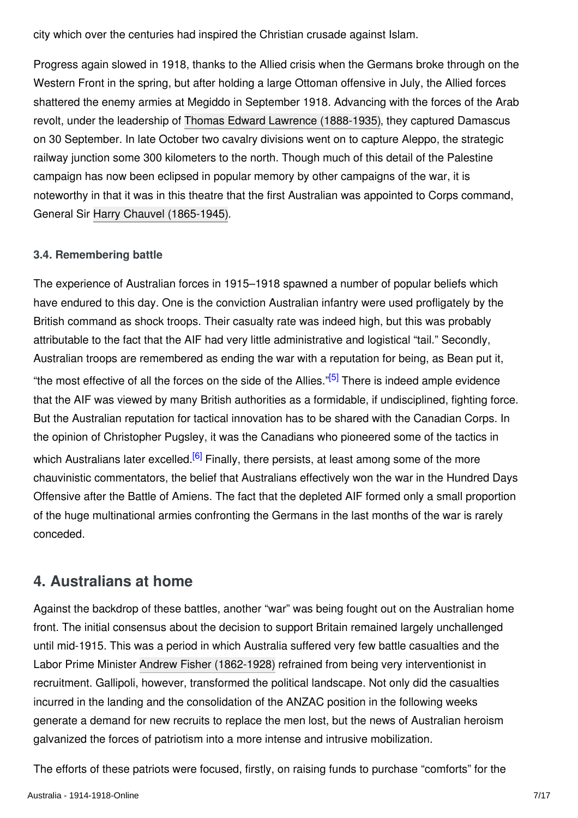city which over the centuries had inspired the Christian crusade against Islam.

Progress again slowed in 1918, thanks to the Allied crisis when the Germans broke through on the Western Front in the spring, but after holding a large Ottoman offensive in July, the Allied forces shattered the enemy armies at Megiddo in September 1918. Advancing with the forces of the Arab revolt, under the leadership of [Thomas Edward Lawrence \(1888-1935\)](http://encyclopedia.1914-1918-online.net/index/names/118570366), they captured Damascus on 30 September. In late October two cavalry divisions went on to capture Aleppo, the strategic railway junction some 300 kilometers to the north. Though much of this detail of the Palestine campaign has now been eclipsed in popular memory by other campaigns of the war, it is noteworthy in that it was in this theatre that the first Australian was appointed to Corps command, General Sir [Harry Chauvel \(1865-1945\)](http://encyclopedia.1914-1918-online.net/index/names/1068186240).

## **3.4. Remembering battle**

The experience of Australian forces in 1915–1918 spawned a number of popular beliefs which have endured to this day. One is the conviction Australian infantry were used profligately by the British command as shock troops. Their casualty rate was indeed high, but this was probably attributable to the fact that the AIF had very little administrative and logistical "tail." Secondly, Australian troops are remembered as ending the war with a reputation for being, as Bean put it, "the most effective of all the forces on the side of the Allies."<sup>[5]</sup> There is indeed ample evidence that the AIF was viewed by many British authorities as a formidable, if undisciplined, fighting force. But the Australian reputation for tactical innovation has to be shared with the Canadian Corps. In the opinion of Christopher Pugsley, it was the Canadians who pioneered some of the tactics in which Australians later excelled.<sup>[6]</sup> Finally, there persists, at least among some of the more chauvinistic commentators, the belief that Australians effectively won the war in the Hundred Days Offensive after the Battle of Amiens. The fact that the depleted AIF formed only a small proportion of the huge multinational armies confronting the Germans in the last months of the war is rarely conceded.

# **4. Australians at home**

Against the backdrop of these battles, another "war" was being fought out on the Australian home front. The initial consensus about the decision to support Britain remained largely unchallenged until mid-1915. This was a period in which Australia suffered very few battle casualties and the Labor Prime Minister [Andrew Fisher \(1862-1928\)](http://encyclopedia.1914-1918-online.net/index/names/122882385) refrained from being very interventionist in recruitment. Gallipoli, however, transformed the political landscape. Not only did the casualties incurred in the landing and the consolidation of the ANZAC position in the following weeks generate a demand for new recruits to replace the men lost, but the news of Australian heroism galvanized the forces of patriotism into a more intense and intrusive mobilization.

The efforts of these patriots were focused, firstly, on raising funds to purchase "comforts" for the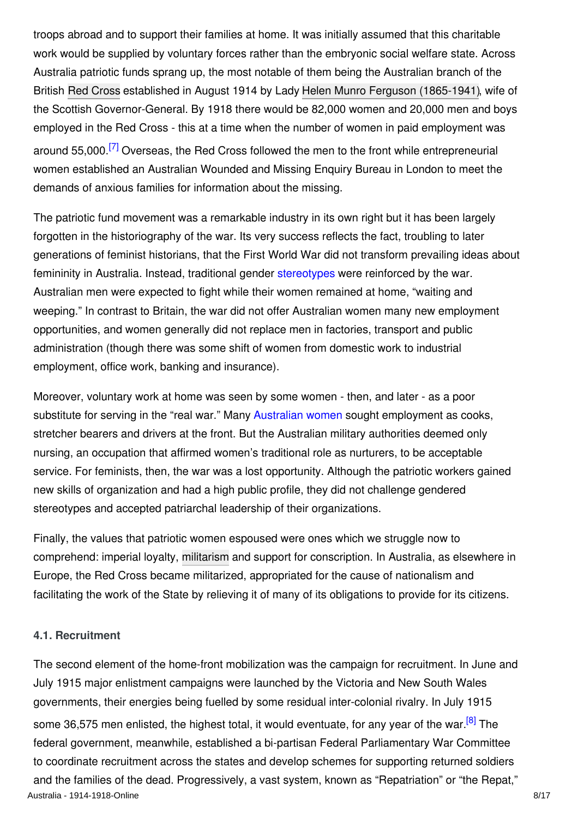troops abroad and to support their families at home. It was initially assumed that this charitable work would be supplied by voluntary forces rather than the embryonic social welfare state. Across Australia patriotic funds sprang up, the most notable of them being the Australian branch of the British [Red Cross](http://encyclopedia.1914-1918-online.net/article/red_cross) established in August 1914 by Lady [Helen Munro Ferguson \(1865-1941\)](http://encyclopedia.1914-1918-online.net/index/names/1068189061), wife of the Scottish Governor-General. By 1918 there would be 82,000 women and 20,000 men and boys employed in the Red Cross - this at a time when the number of women in paid employment was around 55,000.<sup>[7]</sup> Overseas, the Red Cross followed the men to the front while entrepreneurial women established an Australian Wounded and Missing Enquiry Bureau in London to meet the demands of anxious families for information about the missing.

The patriotic fund movement was a remarkable industry in its own right but it has been largely forgotten in the historiography of the war. Its very success reflects the fact, troubling to later generations of feminist historians, that the First World War did not transform prevailing ideas about femininity in Australia. Instead, traditional gender [stereotypes](http://encyclopedia.1914-1918-online.net/article/stereotypes) were reinforced by the war. Australian men were expected to fight while their women remained at home, "waiting and weeping." In contrast to Britain, the war did not offer Australian women many new employment opportunities, and women generally did not replace men in factories, transport and public administration (though there was some shift of women from domestic work to industrial employment, office work, banking and insurance).

Moreover, voluntary work at home was seen by some women - then, and later - as a poor substitute for serving in the "real war." Many [Australian women](http://encyclopedia.1914-1918-online.net/article/womens_mobilisation_for_war_australia) sought employment as cooks, stretcher bearers and drivers at the front. But the Australian military authorities deemed only nursing, an occupation that affirmed women's traditional role as nurturers, to be acceptable service. For feminists, then, the war was a lost opportunity. Although the patriotic workers gained new skills of organization and had a high public profile, they did not challenge gendered stereotypes and accepted patriarchal leadership of their organizations.

Finally, the values that patriotic women espoused were ones which we struggle now to comprehend: imperial loyalty, [militarism](http://encyclopedia.1914-1918-online.net/article/militarism) and support for conscription. In Australia, as elsewhere in Europe, the Red Cross became militarized, appropriated for the cause of nationalism and facilitating the work of the State by relieving it of many of its obligations to provide for its citizens.

#### **4.1. Recruitment**

The second element of the home-front mobilization was the campaign for recruitment. In June and July 1915 major enlistment campaigns were launched by the Victoria and New South Wales governments, their energies being fuelled by some residual inter-colonial rivalry. In July 1915 some 36,575 men enlisted, the highest total, it would eventuate, for any year of the war.<sup>[8]</sup> The federal government, meanwhile, established a bi-partisan Federal Parliamentary War Committee to coordinate recruitment across the states and develop schemes for supporting returned soldiers and the families of the dead. Progressively, a vast system, known as "Repatriation" or "the Repat," Australia - 1914-1918-Online 8/17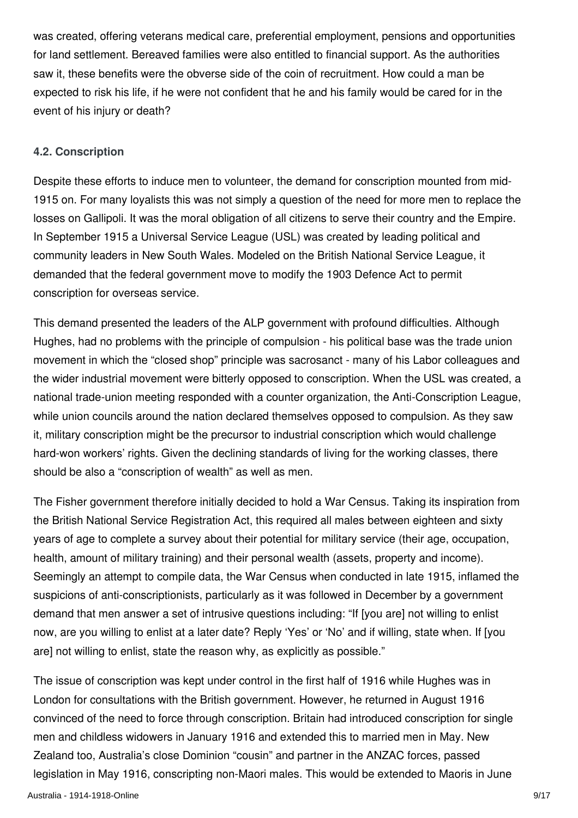was created, offering veterans medical care, preferential employment, pensions and opportunities for land settlement. Bereaved families were also entitled to financial support. As the authorities saw it, these benefits were the obverse side of the coin of recruitment. How could a man be expected to risk his life, if he were not confident that he and his family would be cared for in the event of his injury or death?

#### **4.2. Conscription**

Despite these efforts to induce men to volunteer, the demand for conscription mounted from mid-1915 on. For many loyalists this was not simply a question of the need for more men to replace the losses on Gallipoli. It was the moral obligation of all citizens to serve their country and the Empire. In September 1915 a Universal Service League (USL) was created by leading political and community leaders in New South Wales. Modeled on the British National Service League, it demanded that the federal government move to modify the 1903 Defence Act to permit conscription for overseas service.

This demand presented the leaders of the ALP government with profound difficulties. Although Hughes, had no problems with the principle of compulsion - his political base was the trade union movement in which the "closed shop" principle was sacrosanct - many of his Labor colleagues and the wider industrial movement were bitterly opposed to conscription. When the USL was created, a national trade-union meeting responded with a counter organization, the Anti-Conscription League, while union councils around the nation declared themselves opposed to compulsion. As they saw it, military conscription might be the precursor to industrial conscription which would challenge hard-won workers' rights. Given the declining standards of living for the working classes, there should be also a "conscription of wealth" as well as men.

The Fisher government therefore initially decided to hold a War Census. Taking its inspiration from the British National Service Registration Act, this required all males between eighteen and sixty years of age to complete a survey about their potential for military service (their age, occupation, health, amount of military training) and their personal wealth (assets, property and income). Seemingly an attempt to compile data, the War Census when conducted in late 1915, inflamed the suspicions of anti-conscriptionists, particularly as it was followed in December by a government demand that men answer a set of intrusive questions including: "If [you are] not willing to enlist now, are you willing to enlist at a later date? Reply 'Yes' or 'No' and if willing, state when. If [you are] not willing to enlist, state the reason why, as explicitly as possible."

The issue of conscription was kept under control in the first half of 1916 while Hughes was in London for consultations with the British government. However, he returned in August 1916 convinced of the need to force through conscription. Britain had introduced conscription for single men and childless widowers in January 1916 and extended this to married men in May. New Zealand too, Australia's close Dominion "cousin" and partner in the ANZAC forces, passed legislation in May 1916, conscripting non-Maori males. This would be extended to Maoris in June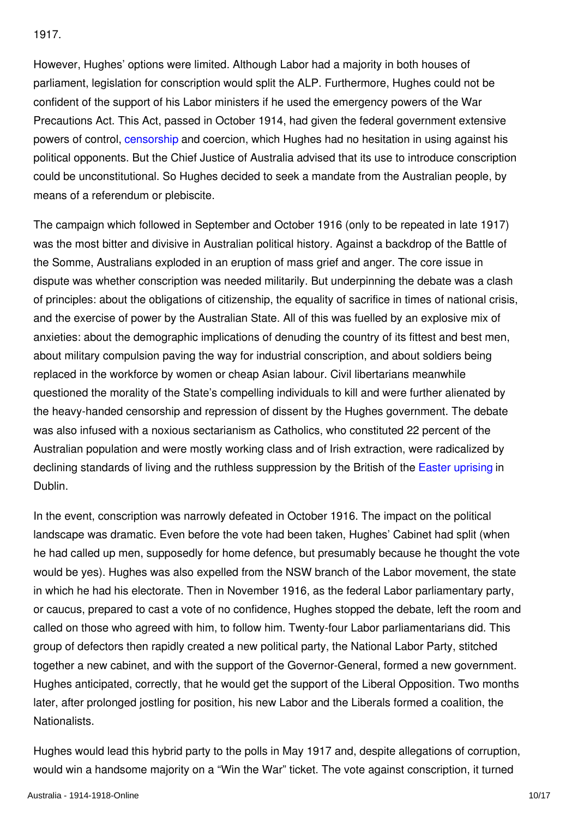1917.

However, Hughes' options were limited. Although Labor had a majority in both houses of parliament, legislation for conscription would split the ALP. Furthermore, Hughes could not be confident of the support of his Labor ministers if he used the emergency powers of the War Precautions Act. This Act, passed in October 1914, had given the federal government extensive powers of control, [censorship](http://encyclopedia.1914-1918-online.net/article/censorship) and coercion, which Hughes had no hesitation in using against his political opponents. But the Chief Justice of Australia advised that its use to introduce conscription could be unconstitutional. So Hughes decided to seek a mandate from the Australian people, by means of a referendum or plebiscite.

The campaign which followed in September and October 1916 (only to be repeated in late 1917) was the most bitter and divisive in Australian political history. Against a backdrop of the Battle of the Somme, Australians exploded in an eruption of mass grief and anger. The core issue in dispute was whether conscription was needed militarily. But underpinning the debate was a clash of principles: about the obligations of citizenship, the equality of sacrifice in times of national crisis, and the exercise of power by the Australian State. All of this was fuelled by an explosive mix of anxieties: about the demographic implications of denuding the country of its fittest and best men, about military compulsion paving the way for industrial conscription, and about soldiers being replaced in the workforce by women or cheap Asian labour. Civil libertarians meanwhile questioned the morality of the State's compelling individuals to kill and were further alienated by the heavy-handed censorship and repression of dissent by the Hughes government. The debate was also infused with a noxious sectarianism as Catholics, who constituted 22 percent of the Australian population and were mostly working class and of Irish extraction, were radicalized by declining standards of living and the ruthless suppression by the British of the [Easter uprising](http://encyclopedia.1914-1918-online.net/article/easter_rising_great_britain_and_ireland) in Dublin.

In the event, conscription was narrowly defeated in October 1916. The impact on the political landscape was dramatic. Even before the vote had been taken, Hughes' Cabinet had split (when he had called up men, supposedly for home defence, but presumably because he thought the vote would be yes). Hughes was also expelled from the NSW branch of the Labor movement, the state in which he had his electorate. Then in November 1916, as the federal Labor parliamentary party, or caucus, prepared to cast a vote of no confidence, Hughes stopped the debate, left the room and called on those who agreed with him, to follow him. Twenty-four Labor parliamentarians did. This group of defectors then rapidly created a new political party, the National Labor Party, stitched together a new cabinet, and with the support of the Governor-General, formed a new government. Hughes anticipated, correctly, that he would get the support of the Liberal Opposition. Two months later, after prolonged jostling for position, his new Labor and the Liberals formed a coalition, the **Nationalists** 

Hughes would lead this hybrid party to the polls in May 1917 and, despite allegations of corruption, would win a handsome majority on a "Win the War" ticket. The vote against conscription, it turned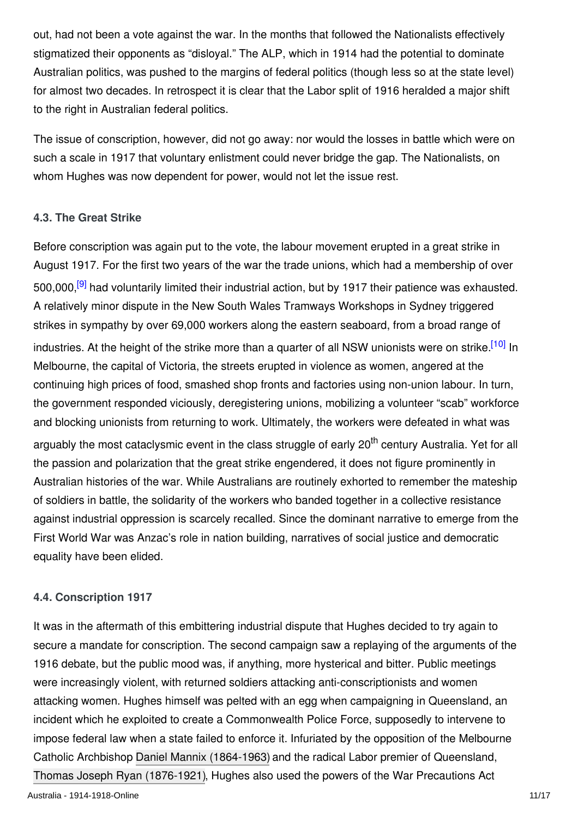out, had not been a vote against the war. In the months that followed the Nationalists effectively stigmatized their opponents as "disloyal." The ALP, which in 1914 had the potential to dominate Australian politics, was pushed to the margins of federal politics (though less so at the state level) for almost two decades. In retrospect it is clear that the Labor split of 1916 heralded a major shift to the right in Australian federal politics.

The issue of conscription, however, did not go away: nor would the losses in battle which were on such a scale in 1917 that voluntary enlistment could never bridge the gap. The Nationalists, on whom Hughes was now dependent for power, would not let the issue rest.

#### **4.3. The Great Strike**

Before conscription was again put to the vote, the labour movement erupted in a great strike in August 1917. For the first two years of the war the trade unions, which had a membership of over 500,000.<sup>[9]</sup> had voluntarily limited their industrial action, but by 1917 their patience was exhausted. A relatively minor dispute in the New South Wales Tramways Workshops in Sydney triggered strikes in sympathy by over 69,000 workers along the eastern seaboard, from a broad range of industries. At the height of the strike more than a quarter of all NSW unionists were on strike.<sup>[10]</sup> In Melbourne, the capital of Victoria, the streets erupted in violence as women, angered at the continuing high prices of food, smashed shop fronts and factories using non-union labour. In turn, the government responded viciously, deregistering unions, mobilizing a volunteer "scab" workforce and blocking unionists from returning to work. Ultimately, the workers were defeated in what was arguably the most cataclysmic event in the class struggle of early 20<sup>th</sup> century Australia. Yet for all the passion and polarization that the great strike engendered, it does not figure prominently in Australian histories of the war. While Australians are routinely exhorted to remember the mateship of soldiers in battle, the solidarity of the workers who banded together in a collective resistance against industrial oppression is scarcely recalled. Since the dominant narrative to emerge from the First World War was Anzac's role in nation building, narratives of social justice and democratic equality have been elided.

#### **4.4. Conscription 1917**

It was in the aftermath of this embittering industrial dispute that Hughes decided to try again to secure a mandate for conscription. The second campaign saw a replaying of the arguments of the 1916 debate, but the public mood was, if anything, more hysterical and bitter. Public meetings were increasingly violent, with returned soldiers attacking anti-conscriptionists and women attacking women. Hughes himself was pelted with an egg when campaigning in Queensland, an incident which he exploited to create a Commonwealth Police Force, supposedly to intervene to impose federal law when a state failed to enforce it. Infuriated by the opposition of the Melbourne Catholic Archbishop [Daniel Mannix \(1864-1963\)](http://encyclopedia.1914-1918-online.net/index/names/1026759501) and the radical Labor premier of Queensland, [Thomas Joseph Ryan \(1876-1921\)](http://encyclopedia.1914-1918-online.net/index/names/1065752806), Hughes also used the powers of the War Precautions Act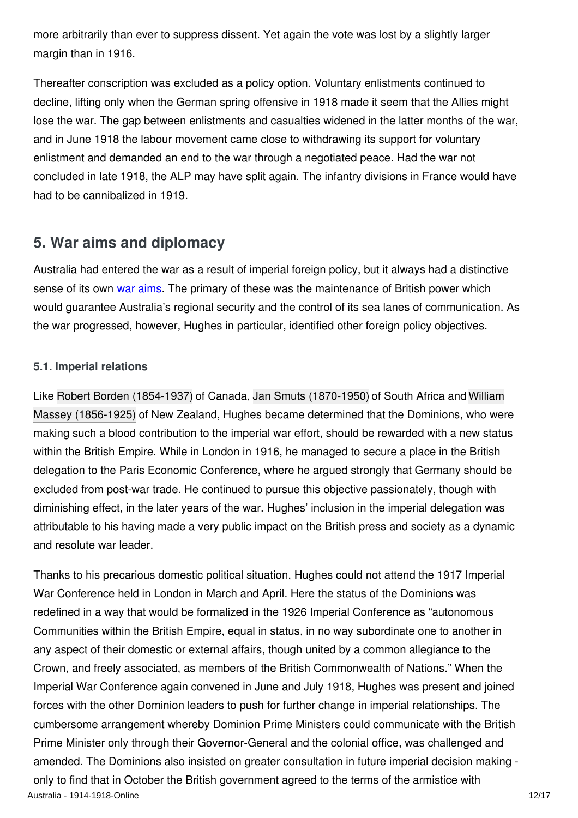more arbitrarily than ever to suppress dissent. Yet again the vote was lost by a slightly larger margin than in 1916.

Thereafter conscription was excluded as a policy option. Voluntary enlistments continued to decline, lifting only when the German spring offensive in 1918 made it seem that the Allies might lose the war. The gap between enlistments and casualties widened in the latter months of the war, and in June 1918 the labour movement came close to withdrawing its support for voluntary enlistment and demanded an end to the war through a negotiated peace. Had the war not concluded in late 1918, the ALP may have split again. The infantry divisions in France would have had to be cannibalized in 1919.

# **5. War aims and diplomacy**

Australia had entered the war as a result of imperial foreign policy, but it always had a distinctive sense of its own [war aims.](http://encyclopedia.1914-1918-online.net/article/war_aims_and_war_aims_discussions_australia) The primary of these was the maintenance of British power which would guarantee Australia's regional security and the control of its sea lanes of communication. As the war progressed, however, Hughes in particular, identified other foreign policy objectives.

# **5.1. Imperial relations**

[Like](http://encyclopedia.1914-1918-online.net/index/names/139673350) [Robert Borden \(1854-1937](http://encyclopedia.1914-1918-online.net/index/names/118993844)[\) of Canada,](http://encyclopedia.1914-1918-online.net/index/names/139673350) [Jan Smuts \(1870-1950](http://encyclopedia.1914-1918-online.net/index/names/11879776X)[\) of South Africa and William](http://encyclopedia.1914-1918-online.net/index/names/139673350) Massey (1856-1925) of New Zealand, Hughes became determined that the Dominions, who were making such a blood contribution to the imperial war effort, should be rewarded with a new status within the British Empire. While in London in 1916, he managed to secure a place in the British delegation to the Paris Economic Conference, where he argued strongly that Germany should be excluded from post-war trade. He continued to pursue this objective passionately, though with diminishing effect, in the later years of the war. Hughes' inclusion in the imperial delegation was attributable to his having made a very public impact on the British press and society as a dynamic and resolute war leader.

Thanks to his precarious domestic political situation, Hughes could not attend the 1917 Imperial War Conference held in London in March and April. Here the status of the Dominions was redefined in a way that would be formalized in the 1926 Imperial Conference as "autonomous Communities within the British Empire, equal in status, in no way subordinate one to another in any aspect of their domestic or external affairs, though united by a common allegiance to the Crown, and freely associated, as members of the British Commonwealth of Nations." When the Imperial War Conference again convened in June and July 1918, Hughes was present and joined forces with the other Dominion leaders to push for further change in imperial relationships. The cumbersome arrangement whereby Dominion Prime Ministers could communicate with the British Prime Minister only through their Governor-General and the colonial office, was challenged and amended. The Dominions also insisted on greater consultation in future imperial decision making only to find that in October the British government agreed to the terms of the armistice with Australia - 1914-1918-Online 12/17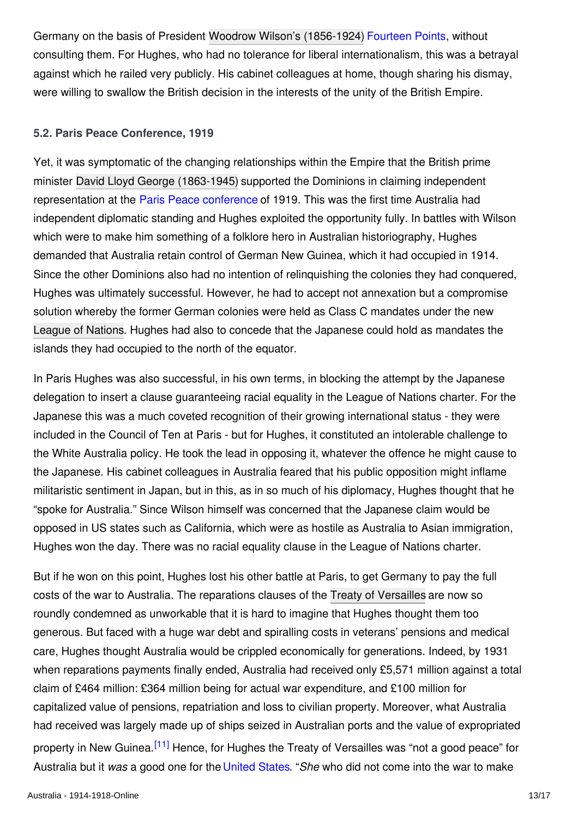Germany on the basis of President [Woodrow Wilson's \(1856-1924\)](http://encyclopedia.1914-1918-online.net/index/names/118643401) [Fourteen Points](http://encyclopedia.1914-1918-online.net/article/fourteen_points), without consulting them. For Hughes, who had no tolerance for liberal internationalism, this was a betrayal against which he railed very publicly. His cabinet colleagues at home, though sharing his dismay, were willing to swallow the British decision in the interests of the unity of the British Empire.

#### **5.2. Paris Peace Conference, 1919**

Yet, it was symptomatic of the changing relationships within the Empire that the British prime minister [David Lloyd George \(1863-1945\)](http://encyclopedia.1914-1918-online.net/index/names/118573675) supported the Dominions in claiming independent representation at the [Paris Peace conference](http://encyclopedia.1914-1918-online.net/article/the_paris_peace_conference_and_its_consequences) of 1919. This was the first time Australia had independent diplomatic standing and Hughes exploited the opportunity fully. In battles with Wilson which were to make him something of a folklore hero in Australian historiography, Hughes demanded that Australia retain control of German New Guinea, which it had occupied in 1914. Since the other Dominions also had no intention of relinquishing the colonies they had conquered, Hughes was ultimately successful. However, he had to accept not annexation but a compromise solution whereby the former German colonies were held as Class C mandates under the new [League of Nations](http://encyclopedia.1914-1918-online.net/article/league_of_nations). Hughes had also to concede that the Japanese could hold as mandates the islands they had occupied to the north of the equator.

In Paris Hughes was also successful, in his own terms, in blocking the attempt by the Japanese delegation to insert a clause guaranteeing racial equality in the League of Nations charter. For the Japanese this was a much coveted recognition of their growing international status - they were included in the Council of Ten at Paris - but for Hughes, it constituted an intolerable challenge to the White Australia policy. He took the lead in opposing it, whatever the offence he might cause to the Japanese. His cabinet colleagues in Australia feared that his public opposition might inflame militaristic sentiment in Japan, but in this, as in so much of his diplomacy, Hughes thought that he "spoke for Australia." Since Wilson himself was concerned that the Japanese claim would be opposed in US states such as California, which were as hostile as Australia to Asian immigration, Hughes won the day. There was no racial equality clause in the League of Nations charter.

But if he won on this point, Hughes lost his other battle at Paris, to get Germany to pay the full costs of the war to Australia. The reparations clauses of the [Treaty of Versailles](http://encyclopedia.1914-1918-online.net/article/versailles_treaty_of) are now so roundly condemned as unworkable that it is hard to imagine that Hughes thought them too generous. But faced with a huge war debt and spiralling costs in veterans' pensions and medical care, Hughes thought Australia would be crippled economically for generations. Indeed, by 1931 when reparations payments finally ended, Australia had received only £5,571 million against a total claim of £464 million: £364 million being for actual war expenditure, and £100 million for capitalized value of pensions, repatriation and loss to civilian property. Moreover, what Australia had received was largely made up of ships seized in Australian ports and the value of expropriated property in New Guinea.<sup>[11]</sup> Hence, for Hughes the Treaty of Versailles was "not a good peace" for Australia but it *was* a good one for the [United States](http://encyclopedia.1914-1918-online.net/article/united_states_of_america). "*She* who did not come into the war to make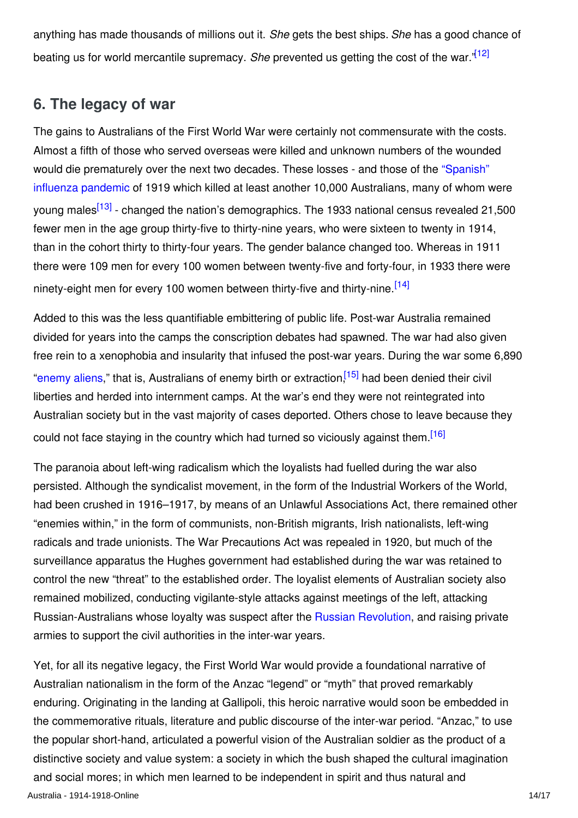anything has made thousands of millions out it. *She* gets the best ships. *She* has a good chance of beating us for world mercantile supremacy. *She* prevented us getting the cost of the war."[12]

# **6. The legacy of war**

The gains to Australians of the First World War were certainly not commensurate with the costs. Almost a fifth of those who served overseas were killed and unknown numbers of the wounded [would die prematurely over the next two decades. These losses - and those of the "Spanish"](http://encyclopedia.1914-1918-online.net/article/influenza_pandemic) influenza pandemic of 1919 which killed at least another 10,000 Australians, many of whom were young males<sup>[13]</sup> - changed the nation's demographics. The 1933 national census revealed 21,500 fewer men in the age group thirty-five to thirty-nine years, who were sixteen to twenty in 1914, than in the cohort thirty to thirty-four years. The gender balance changed too. Whereas in 1911 there were 109 men for every 100 women between twenty-five and forty-four, in 1933 there were ninety-eight men for every 100 women between thirty-five and thirty-nine.<sup>[14]</sup>

Added to this was the less quantifiable embittering of public life. Post-war Australia remained divided for years into the camps the conscription debates had spawned. The war had also given free rein to a xenophobia and insularity that infused the post-war years. During the war some 6,890 ["enemy aliens](http://encyclopedia.1914-1918-online.net/article/enemy_aliens_and_internment)," that is, Australians of enemy birth or extraction.<sup>[15]</sup> had been denied their civil liberties and herded into internment camps. At the war's end they were not reintegrated into Australian society but in the vast majority of cases deported. Others chose to leave because they could not face staying in the country which had turned so viciously against them.<sup>[16]</sup>

The paranoia about left-wing radicalism which the loyalists had fuelled during the war also persisted. Although the syndicalist movement, in the form of the Industrial Workers of the World, had been crushed in 1916–1917, by means of an Unlawful Associations Act, there remained other "enemies within," in the form of communists, non-British migrants, Irish nationalists, left-wing radicals and trade unionists. The War Precautions Act was repealed in 1920, but much of the surveillance apparatus the Hughes government had established during the war was retained to control the new "threat" to the established order. The loyalist elements of Australian society also remained mobilized, conducting vigilante-style attacks against meetings of the left, attacking Russian-Australians whose loyalty was suspect after the [Russian Revolution](http://encyclopedia.1914-1918-online.net/article/revolutions_russian_empire), and raising private armies to support the civil authorities in the inter-war years.

Yet, for all its negative legacy, the First World War would provide a foundational narrative of Australian nationalism in the form of the Anzac "legend" or "myth" that proved remarkably enduring. Originating in the landing at Gallipoli, this heroic narrative would soon be embedded in the commemorative rituals, literature and public discourse of the inter-war period. "Anzac," to use the popular short-hand, articulated a powerful vision of the Australian soldier as the product of a distinctive society and value system: a society in which the bush shaped the cultural imagination and social mores; in which men learned to be independent in spirit and thus natural and Australia - 1914-1918-Online 14/17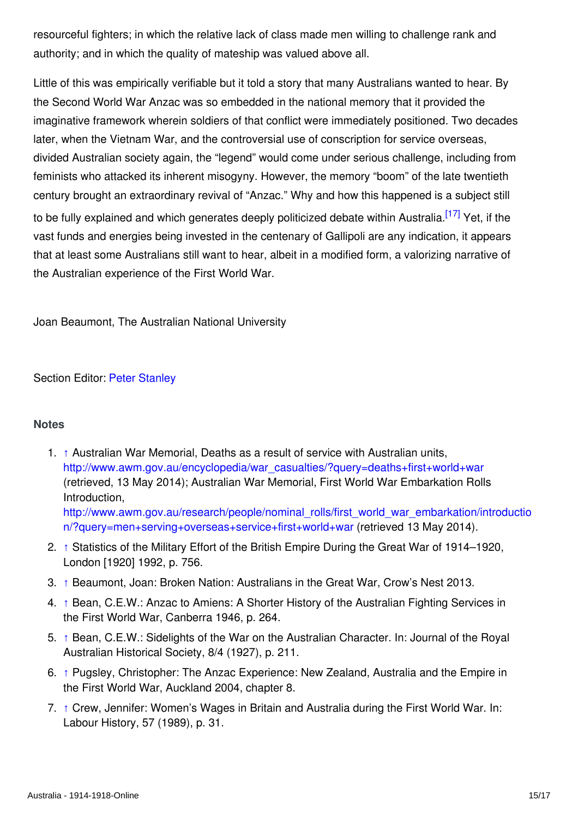resourceful fighters; in which the relative lack of class made men willing to challenge rank and authority; and in which the quality of mateship was valued above all.

Little of this was empirically verifiable but it told a story that many Australians wanted to hear. By the Second World War Anzac was so embedded in the national memory that it provided the imaginative framework wherein soldiers of that conflict were immediately positioned. Two decades later, when the Vietnam War, and the controversial use of conscription for service overseas, divided Australian society again, the "legend" would come under serious challenge, including from feminists who attacked its inherent misogyny. However, the memory "boom" of the late twentieth century brought an extraordinary revival of "Anzac." Why and how this happened is a subject still to be fully explained and which generates deeply politicized debate within Australia.<sup>[17]</sup> Yet, if the vast funds and energies being invested in the centenary of Gallipoli are any indication, it appears that at least some Australians still want to hear, albeit in a modified form, a valorizing narrative of the Australian experience of the First World War.

Joan Beaumont, The Australian National University

Section Editor: [Peter Stanley](http://encyclopedia.1914-1918-online.net/contributors/Peter_Stanley)

## **Notes**

- 1. ↑ Australian War Memorial, Deaths as a result of service with Australian units, [http://www.awm.gov.au/encyclopedia/war\\_casualties/?query=deaths+first+world+war](http://www.awm.gov.au/encyclopedia/war_casualties/?query=deaths+first+world+war) (retrieved, 13 May 2014); Australian War Memorial, First World War Embarkation Rolls Introduction, [http://www.awm.gov.au/research/people/nominal\\_rolls/first\\_world\\_war\\_embarkation/introductio](http://www.awm.gov.au/research/people/nominal_rolls/first_world_war_embarkation/introduction/?query=men+serving+overseas+service+first+world+war) n/?query=men+serving+overseas+service+first+world+war (retrieved 13 May 2014).
- 2. ↑ Statistics of the Military Effort of the British Empire During the Great War of 1914–1920, London [1920] 1992, p. 756.
- 3. ↑ Beaumont, Joan: Broken Nation: Australians in the Great War, Crow's Nest 2013.
- 4. ↑ Bean, C.E.W.: Anzac to Amiens: A Shorter History of the Australian Fighting Services in the First World War, Canberra 1946, p. 264.
- 5. ↑ Bean, C.E.W.: Sidelights of the War on the Australian Character. In: Journal of the Royal Australian Historical Society, 8/4 (1927), p. 211.
- 6. ↑ Pugsley, Christopher: The Anzac Experience: New Zealand, Australia and the Empire in the First World War, Auckland 2004, chapter 8.
- 7. ↑ Crew, Jennifer: Women's Wages in Britain and Australia during the First World War. In: Labour History, 57 (1989), p. 31.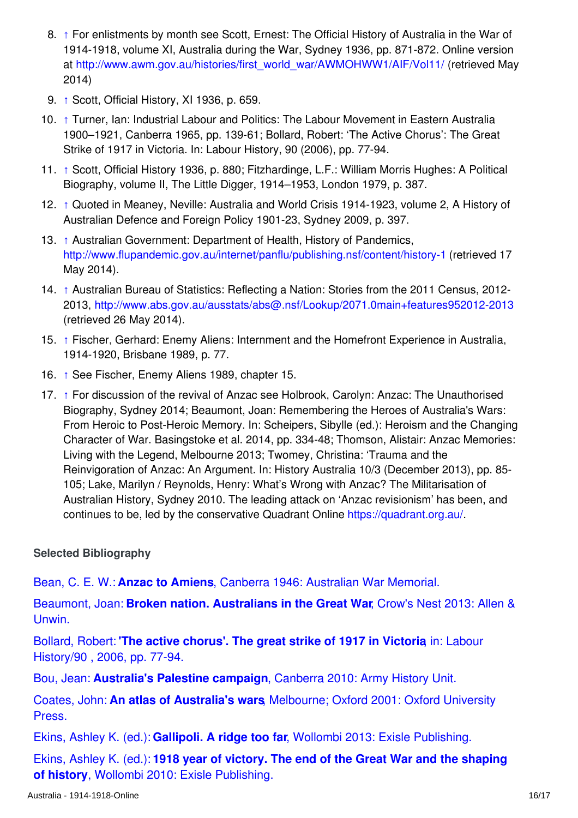- 8. ↑ For enlistments by month see Scott, Ernest: The Official History of Australia in the War of 1914-1918, volume XI, Australia during the War, Sydney 1936, pp. 871-872. Online version at [http://www.awm.gov.au/histories/first\\_world\\_war/AWMOHWW1/AIF/Vol11/](http://www.awm.gov.au/histories/first_world_war/AWMOHWW1/AIF/Vol11/) (retrieved May 2014)
- 9. ↑ Scott, Official History, XI 1936, p. 659.
- 10. ↑ Turner, Ian: Industrial Labour and Politics: The Labour Movement in Eastern Australia 1900–1921, Canberra 1965, pp. 139-61; Bollard, Robert: 'The Active Chorus': The Great Strike of 1917 in Victoria. In: Labour History, 90 (2006), pp. 77-94.
- 11. ↑ Scott, Official History 1936, p. 880; Fitzhardinge, L.F.: William Morris Hughes: A Political Biography, volume II, The Little Digger, 1914–1953, London 1979, p. 387.
- 12. ↑ Quoted in Meaney, Neville: Australia and World Crisis 1914-1923, volume 2, A History of Australian Defence and Foreign Policy 1901-23, Sydney 2009, p. 397.
- 13. ↑ Australian Government: Department of Health, History of Pandemics, <http://www.flupandemic.gov.au/internet/panflu/publishing.nsf/content/history-1> (retrieved 17 May 2014).
- 14. ↑ Australian Bureau of Statistics: Reflecting a Nation: Stories from the 2011 Census, 2012- 2013,<http://www.abs.gov.au/ausstats/abs@.nsf/Lookup/2071.0main+features952012-2013> (retrieved 26 May 2014).
- 15. ↑ Fischer, Gerhard: Enemy Aliens: Internment and the Homefront Experience in Australia, 1914-1920, Brisbane 1989, p. 77.
- 16. ↑ See Fischer, Enemy Aliens 1989, chapter 15.
- 17. ↑ For discussion of the revival of Anzac see Holbrook, Carolyn: Anzac: The Unauthorised Biography, Sydney 2014; Beaumont, Joan: Remembering the Heroes of Australia's Wars: From Heroic to Post-Heroic Memory. In: Scheipers, Sibylle (ed.): Heroism and the Changing Character of War. Basingstoke et al. 2014, pp. 334-48; Thomson, Alistair: Anzac Memories: Living with the Legend, Melbourne 2013; Twomey, Christina: 'Trauma and the Reinvigoration of Anzac: An Argument. In: History Australia 10/3 (December 2013), pp. 85- 105; Lake, Marilyn / Reynolds, Henry: What's Wrong with Anzac? The Militarisation of Australian History, Sydney 2010. The leading attack on 'Anzac revisionism' has been, and continues to be, led by the conservative Quadrant Online [https://quadrant.org.au/.](https://quadrant.org.au/)

## **Selected Bibliography**

Bean, C. E. W.: **Anzac to Amiens**[, Canberra 1946: Australian War Memorial.](http://encyclopedia.1914-1918-online.net/bibliography/RHHJ2GUF)

Beaumont, Joan: **[Broken nation. Australians in the Great War](http://encyclopedia.1914-1918-online.net/bibliography/BDZXW76H)**, Crow's Nest 2013: Allen & Unwin.

Bollard, Robert: **['The active chorus'. The great strike of 1917 in Victoria](http://encyclopedia.1914-1918-online.net/bibliography/VPIQ2WS7)**, in: Labour History/90 , 2006, pp. 77-94.

Bou, Jean: **Australia's Palestine campaign**[, Canberra 2010: Army History Unit.](http://encyclopedia.1914-1918-online.net/bibliography/KP9XNSNB)

Coates, John: **An atlas of Australia's wars**[, Melbourne; Oxford 2001: Oxford University](http://encyclopedia.1914-1918-online.net/bibliography/ZMAHSCPJ) Press.

Ekins, Ashley K. (ed.): **Gallipoli. A ridge too far**[, Wollombi 2013: Exisle Publishing.](http://encyclopedia.1914-1918-online.net/bibliography/EM4DACW5)

Ekins, Ashley K. (ed.): **[1918 year of victory. The end of the Great War and the shaping](http://encyclopedia.1914-1918-online.net/bibliography/KHGZSWM8) of history**, Wollombi 2010: Exisle Publishing.